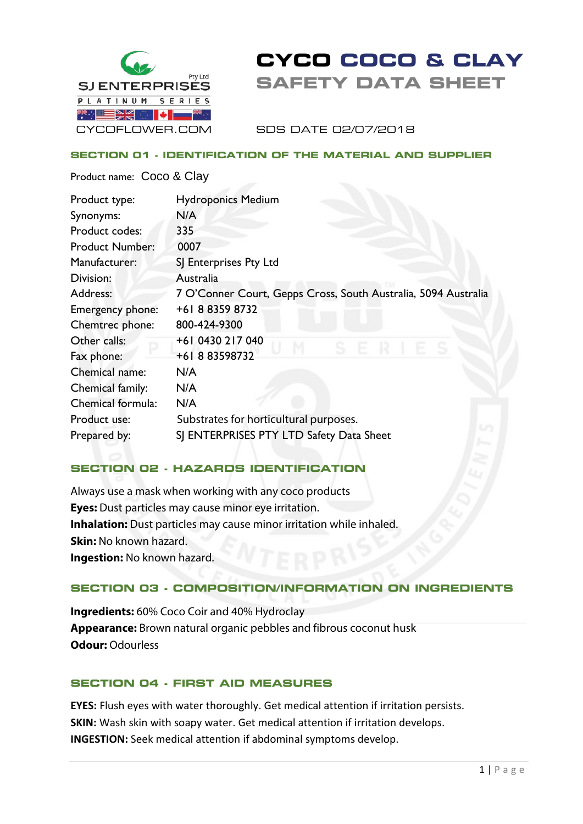

# **CYCO COCO & CLAY SAFETY DATA SHEET**

SDS DATE 02/07/2018

#### **SECTION 01 - IDENTIFICATION OF THE MATERIAL AND SUPPLIER**

Product name: Coco & Clay

| Product type:          | <b>Hydroponics Medium</b>                                      |
|------------------------|----------------------------------------------------------------|
| Synonyms:              | N/A                                                            |
| Product codes:         | 335                                                            |
| <b>Product Number:</b> | 0007                                                           |
| Manufacturer:          | SJ Enterprises Pty Ltd                                         |
| Division:              | Australia                                                      |
| Address:               | 7 O'Conner Court, Gepps Cross, South Australia, 5094 Australia |
| Emergency phone:       | +61883598732                                                   |
| Chemtrec phone:        | 800-424-9300                                                   |
| Other calls:           | +61 0430 217 040                                               |
| Fax phone:             | +61883598732                                                   |
| Chemical name:         | N/A                                                            |
| Chemical family:       | N/A                                                            |
| Chemical formula:      | N/A                                                            |
| Product use:           | Substrates for horticultural purposes.                         |
| Prepared by:           | SJ ENTERPRISES PTY LTD Safety Data Sheet                       |

# **SECTION 02 - HAZARDS IDENTIFICATION**

Always use a mask when working with any coco products **Eyes:** Dust particles may cause minor eye irritation. **Inhalation:** Dust particles may cause minor irritation while inhaled. **Skin: No known hazard. Ingestion:** No known hazard.

# **SECTION 03 - COMPOSITION/INFORMATION ON INGREDIENTS**

**Ingredients:** 60% Coco Coir and 40% Hydroclay **Appearance:** Brown natural organic pebbles and fibrous coconut husk **Odour:** Odourless

#### **SECTION 04 - FIRST AID MEASURES**

**EYES:** Flush eyes with water thoroughly. Get medical attention if irritation persists. **SKIN:** Wash skin with soapy water. Get medical attention if irritation develops. **INGESTION:** Seek medical attention if abdominal symptoms develop.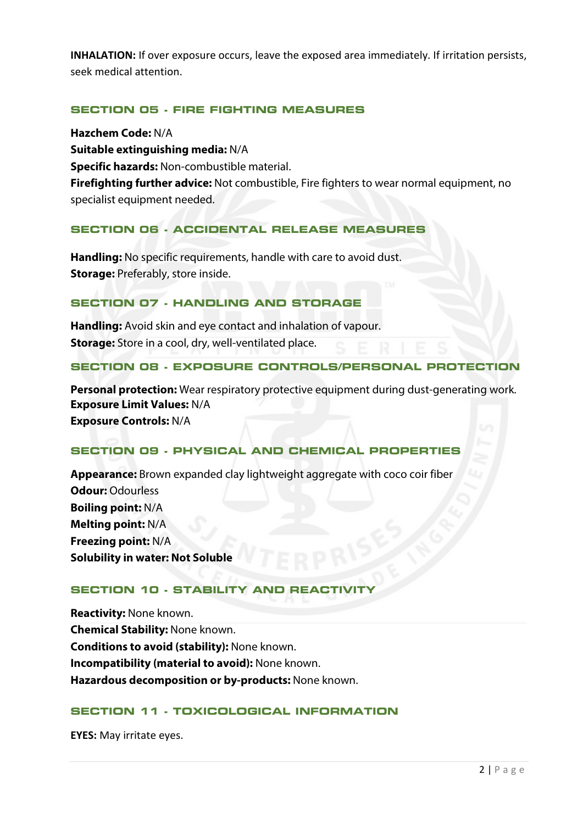**INHALATION:** If over exposure occurs, leave the exposed area immediately. If irritation persists, seek medical attention.

## **SECTION 05 - FIRE FIGHTING MEASURES**

**Hazchem Code:** N/A **Suitable extinguishing media:** N/A **Specific hazards:** Non-combustible material. **Firefighting further advice:** Not combustible, Fire fighters to wear normal equipment, no specialist equipment needed.

### **SECTION 06 - ACCIDENTAL RELEASE MEASURES**

**Handling:** No specific requirements, handle with care to avoid dust. **Storage:** Preferably, store inside.

#### **SECTION 07 - HANDLING AND STORAGE**

**Handling:** Avoid skin and eye contact and inhalation of vapour. **Storage:** Store in a cool, dry, well-ventilated place.

#### **SECTION 08 - EXPOSURE CONTROLS/PERSONAL PROTECTION**

**Personal protection:** Wear respiratory protective equipment during dust-generating work. **Exposure Limit Values:** N/A **Exposure Controls:** N/A

# **SECTION 09 - PHYSICAL AND CHEMICAL PROPERTIES**

**Appearance:** Brown expanded clay lightweight aggregate with coco coir fiber **Odour:** Odourless **Boiling point:** N/A **Melting point:** N/A **Freezing point:** N/A **Solubility in water: Not Soluble**

#### **SECTION 10 - STABILITY AND REACTIVIT**

**Reactivity:** None known. **Chemical Stability:** None known. **Conditions to avoid (stability):** None known. **Incompatibility (material to avoid):** None known. **Hazardous decomposition or by-products:** None known.

#### **SECTION 11 - TOXICOLOGICAL INFORMATION**

**EYES:** May irritate eyes.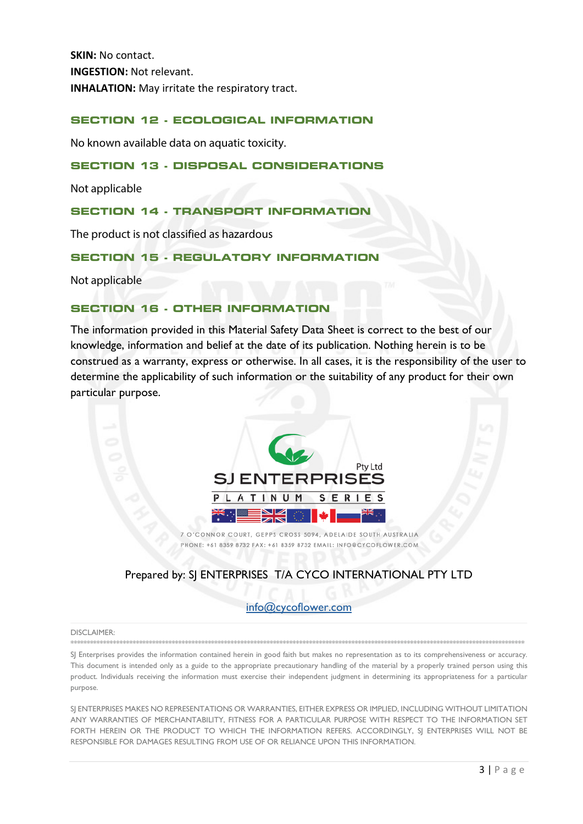**SKIN: No contact. INGESTION: Not relevant. INHALATION:** May irritate the respiratory tract.

#### **SECTION 12 - ECOLOGICAL INFORMATION**

No known available data on aquatic toxicity.

#### **SECTION 13 - DISPOSAL CONSIDERATIONS**

Not applicable

#### **SECTION 14 - TRANSPORT INFORMATION**

The product is not classified as hazardous

#### **SECTION 15 - REGULATORY INFORMATION**

Not applicable

#### **SECTION 16 . OTHER INFORMATION**

The information provided in this Material Safety Data Sheet is correct to the best of our knowledge, information and belief at the date of its publication. Nothing herein is to be construed as a warranty, express or otherwise. In all cases, it is the responsibility of the user to determine the applicability of such information or the suitability of any product for their own particular purpose.



7 O'CONNOR COURT, GEPPS CROSS 5094, ADELAIDE SOUTH AUSTRALIA PHONE: +61 8359 8732 FAX: +61 8359 8732 EMAIL: INFO@CYCOFLOWER.COM

# Prepared by: SJ ENTERPRISES T/A CYCO INTERNATIONAL PTY LTD

#### info@cycoflower.com

#### **DISCLAIMER**

SJ Enterprises provides the information contained herein in good faith but makes no representation as to its comprehensiveness or accuracy. This document is intended only as a guide to the appropriate precautionary handling of the material by a properly trained person using this product. Individuals receiving the information must exercise their independent judgment in determining its appropriateness for a particular burbose.

SI ENTERPRISES MAKES NO REPRESENTATIONS OR WARRANTIES, EITHER EXPRESS OR IMPLIED, INCLUDING WITHOUT LIMITATION ANY WARRANTIES OF MERCHANTABILITY, FITNESS FOR A PARTICULAR PURPOSE WITH RESPECT TO THE INFORMATION SET FORTH HEREIN OR THE PRODUCT TO WHICH THE INFORMATION REFERS. ACCORDINGLY, SJ ENTERPRISES WILL NOT BE RESPONSIBLE FOR DAMAGES RESULTING FROM USE OF OR RELIANCE UPON THIS INFORMATION.